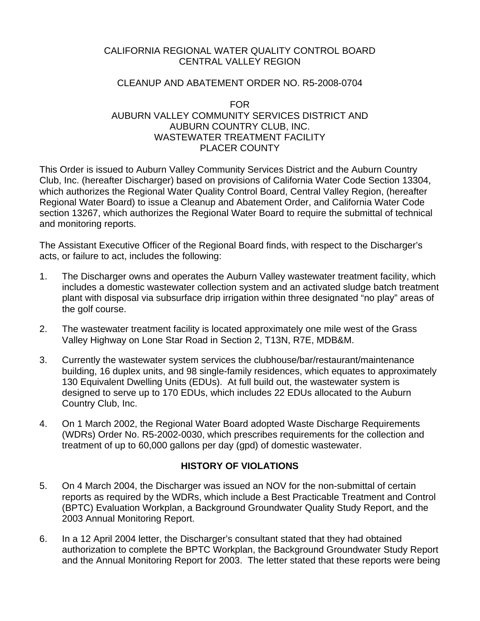#### CALIFORNIA REGIONAL WATER QUALITY CONTROL BOARD CENTRAL VALLEY REGION

#### CLEANUP AND ABATEMENT ORDER NO. R5-2008-0704

#### FOR AUBURN VALLEY COMMUNITY SERVICES DISTRICT AND AUBURN COUNTRY CLUB, INC. WASTEWATER TREATMENT FACILITY PLACER COUNTY

This Order is issued to Auburn Valley Community Services District and the Auburn Country Club, Inc. (hereafter Discharger) based on provisions of California Water Code Section 13304, which authorizes the Regional Water Quality Control Board, Central Valley Region, (hereafter Regional Water Board) to issue a Cleanup and Abatement Order, and California Water Code section 13267, which authorizes the Regional Water Board to require the submittal of technical and monitoring reports.

The Assistant Executive Officer of the Regional Board finds, with respect to the Discharger's acts, or failure to act, includes the following:

- 1. The Discharger owns and operates the Auburn Valley wastewater treatment facility, which includes a domestic wastewater collection system and an activated sludge batch treatment plant with disposal via subsurface drip irrigation within three designated "no play" areas of the golf course.
- 2. The wastewater treatment facility is located approximately one mile west of the Grass Valley Highway on Lone Star Road in Section 2, T13N, R7E, MDB&M.
- 3. Currently the wastewater system services the clubhouse/bar/restaurant/maintenance building, 16 duplex units, and 98 single-family residences, which equates to approximately 130 Equivalent Dwelling Units (EDUs). At full build out, the wastewater system is designed to serve up to 170 EDUs, which includes 22 EDUs allocated to the Auburn Country Club, Inc.
- 4. On 1 March 2002, the Regional Water Board adopted Waste Discharge Requirements (WDRs) Order No. R5-2002-0030, which prescribes requirements for the collection and treatment of up to 60,000 gallons per day (gpd) of domestic wastewater.

#### **HISTORY OF VIOLATIONS**

- 5. On 4 March 2004, the Discharger was issued an NOV for the non-submittal of certain reports as required by the WDRs, which include a Best Practicable Treatment and Control (BPTC) Evaluation Workplan, a Background Groundwater Quality Study Report, and the 2003 Annual Monitoring Report.
- 6. In a 12 April 2004 letter, the Discharger's consultant stated that they had obtained authorization to complete the BPTC Workplan, the Background Groundwater Study Report and the Annual Monitoring Report for 2003. The letter stated that these reports were being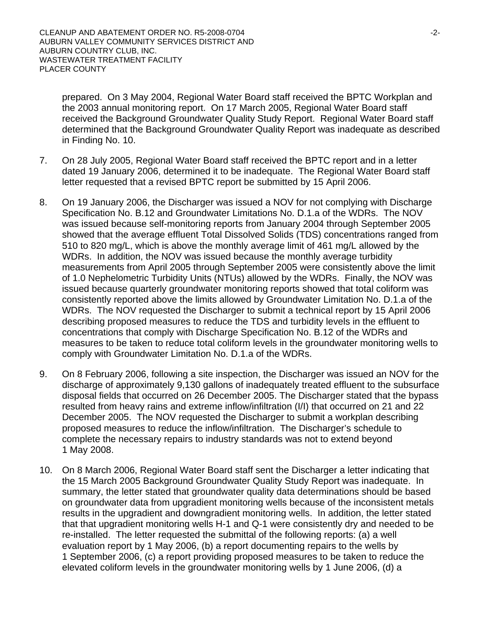prepared. On 3 May 2004, Regional Water Board staff received the BPTC Workplan and the 2003 annual monitoring report. On 17 March 2005, Regional Water Board staff received the Background Groundwater Quality Study Report. Regional Water Board staff determined that the Background Groundwater Quality Report was inadequate as described in Finding No. 10.

- 7. On 28 July 2005, Regional Water Board staff received the BPTC report and in a letter dated 19 January 2006, determined it to be inadequate. The Regional Water Board staff letter requested that a revised BPTC report be submitted by 15 April 2006.
- 8. On 19 January 2006, the Discharger was issued a NOV for not complying with Discharge Specification No. B.12 and Groundwater Limitations No. D.1.a of the WDRs. The NOV was issued because self-monitoring reports from January 2004 through September 2005 showed that the average effluent Total Dissolved Solids (TDS) concentrations ranged from 510 to 820 mg/L, which is above the monthly average limit of 461 mg/L allowed by the WDRs. In addition, the NOV was issued because the monthly average turbidity measurements from April 2005 through September 2005 were consistently above the limit of 1.0 Nephelometric Turbidity Units (NTUs) allowed by the WDRs. Finally, the NOV was issued because quarterly groundwater monitoring reports showed that total coliform was consistently reported above the limits allowed by Groundwater Limitation No. D.1.a of the WDRs. The NOV requested the Discharger to submit a technical report by 15 April 2006 describing proposed measures to reduce the TDS and turbidity levels in the effluent to concentrations that comply with Discharge Specification No. B.12 of the WDRs and measures to be taken to reduce total coliform levels in the groundwater monitoring wells to comply with Groundwater Limitation No. D.1.a of the WDRs.
- 9. On 8 February 2006, following a site inspection, the Discharger was issued an NOV for the discharge of approximately 9,130 gallons of inadequately treated effluent to the subsurface disposal fields that occurred on 26 December 2005. The Discharger stated that the bypass resulted from heavy rains and extreme inflow/infiltration (I/I) that occurred on 21 and 22 December 2005. The NOV requested the Discharger to submit a workplan describing proposed measures to reduce the inflow/infiltration. The Discharger's schedule to complete the necessary repairs to industry standards was not to extend beyond 1 May 2008.
- 10. On 8 March 2006, Regional Water Board staff sent the Discharger a letter indicating that the 15 March 2005 Background Groundwater Quality Study Report was inadequate. In summary, the letter stated that groundwater quality data determinations should be based on groundwater data from upgradient monitoring wells because of the inconsistent metals results in the upgradient and downgradient monitoring wells. In addition, the letter stated that that upgradient monitoring wells H-1 and Q-1 were consistently dry and needed to be re-installed. The letter requested the submittal of the following reports: (a) a well evaluation report by 1 May 2006, (b) a report documenting repairs to the wells by 1 September 2006, (c) a report providing proposed measures to be taken to reduce the elevated coliform levels in the groundwater monitoring wells by 1 June 2006, (d) a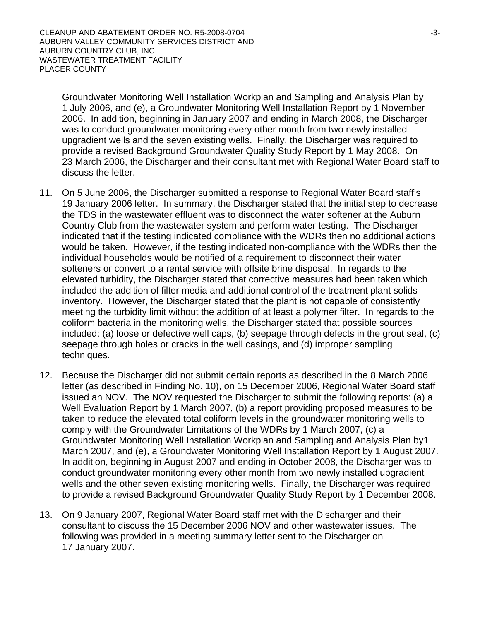Groundwater Monitoring Well Installation Workplan and Sampling and Analysis Plan by 1 July 2006, and (e), a Groundwater Monitoring Well Installation Report by 1 November 2006. In addition, beginning in January 2007 and ending in March 2008, the Discharger was to conduct groundwater monitoring every other month from two newly installed upgradient wells and the seven existing wells. Finally, the Discharger was required to provide a revised Background Groundwater Quality Study Report by 1 May 2008. On 23 March 2006, the Discharger and their consultant met with Regional Water Board staff to discuss the letter.

- 11. On 5 June 2006, the Discharger submitted a response to Regional Water Board staff's 19 January 2006 letter. In summary, the Discharger stated that the initial step to decrease the TDS in the wastewater effluent was to disconnect the water softener at the Auburn Country Club from the wastewater system and perform water testing. The Discharger indicated that if the testing indicated compliance with the WDRs then no additional actions would be taken. However, if the testing indicated non-compliance with the WDRs then the individual households would be notified of a requirement to disconnect their water softeners or convert to a rental service with offsite brine disposal. In regards to the elevated turbidity, the Discharger stated that corrective measures had been taken which included the addition of filter media and additional control of the treatment plant solids inventory. However, the Discharger stated that the plant is not capable of consistently meeting the turbidity limit without the addition of at least a polymer filter. In regards to the coliform bacteria in the monitoring wells, the Discharger stated that possible sources included: (a) loose or defective well caps, (b) seepage through defects in the grout seal, (c) seepage through holes or cracks in the well casings, and (d) improper sampling techniques.
- 12. Because the Discharger did not submit certain reports as described in the 8 March 2006 letter (as described in Finding No. 10), on 15 December 2006, Regional Water Board staff issued an NOV. The NOV requested the Discharger to submit the following reports: (a) a Well Evaluation Report by 1 March 2007, (b) a report providing proposed measures to be taken to reduce the elevated total coliform levels in the groundwater monitoring wells to comply with the Groundwater Limitations of the WDRs by 1 March 2007, (c) a Groundwater Monitoring Well Installation Workplan and Sampling and Analysis Plan by1 March 2007, and (e), a Groundwater Monitoring Well Installation Report by 1 August 2007. In addition, beginning in August 2007 and ending in October 2008, the Discharger was to conduct groundwater monitoring every other month from two newly installed upgradient wells and the other seven existing monitoring wells. Finally, the Discharger was required to provide a revised Background Groundwater Quality Study Report by 1 December 2008.
- 13. On 9 January 2007, Regional Water Board staff met with the Discharger and their consultant to discuss the 15 December 2006 NOV and other wastewater issues. The following was provided in a meeting summary letter sent to the Discharger on 17 January 2007.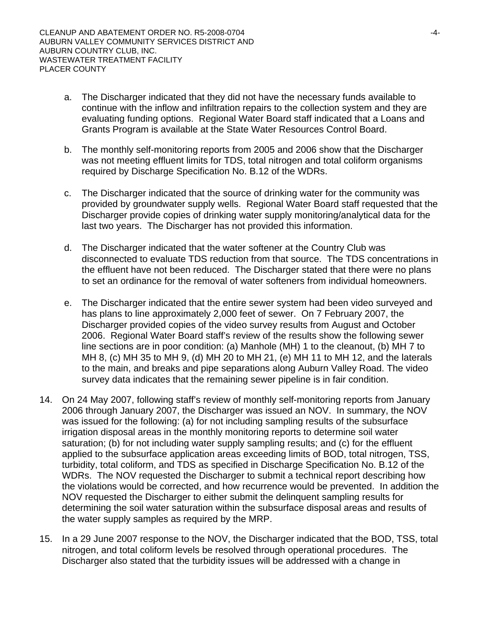- a. The Discharger indicated that they did not have the necessary funds available to continue with the inflow and infiltration repairs to the collection system and they are evaluating funding options. Regional Water Board staff indicated that a Loans and Grants Program is available at the State Water Resources Control Board.
- b. The monthly self-monitoring reports from 2005 and 2006 show that the Discharger was not meeting effluent limits for TDS, total nitrogen and total coliform organisms required by Discharge Specification No. B.12 of the WDRs.
- c. The Discharger indicated that the source of drinking water for the community was provided by groundwater supply wells. Regional Water Board staff requested that the Discharger provide copies of drinking water supply monitoring/analytical data for the last two years. The Discharger has not provided this information.
- d. The Discharger indicated that the water softener at the Country Club was disconnected to evaluate TDS reduction from that source. The TDS concentrations in the effluent have not been reduced. The Discharger stated that there were no plans to set an ordinance for the removal of water softeners from individual homeowners.
- e. The Discharger indicated that the entire sewer system had been video surveyed and has plans to line approximately 2,000 feet of sewer. On 7 February 2007, the Discharger provided copies of the video survey results from August and October 2006. Regional Water Board staff's review of the results show the following sewer line sections are in poor condition: (a) Manhole (MH) 1 to the cleanout, (b) MH 7 to MH 8, (c) MH 35 to MH 9, (d) MH 20 to MH 21, (e) MH 11 to MH 12, and the laterals to the main, and breaks and pipe separations along Auburn Valley Road. The video survey data indicates that the remaining sewer pipeline is in fair condition.
- 14. On 24 May 2007, following staff's review of monthly self-monitoring reports from January 2006 through January 2007, the Discharger was issued an NOV. In summary, the NOV was issued for the following: (a) for not including sampling results of the subsurface irrigation disposal areas in the monthly monitoring reports to determine soil water saturation; (b) for not including water supply sampling results; and (c) for the effluent applied to the subsurface application areas exceeding limits of BOD, total nitrogen, TSS, turbidity, total coliform, and TDS as specified in Discharge Specification No. B.12 of the WDRs. The NOV requested the Discharger to submit a technical report describing how the violations would be corrected, and how recurrence would be prevented. In addition the NOV requested the Discharger to either submit the delinquent sampling results for determining the soil water saturation within the subsurface disposal areas and results of the water supply samples as required by the MRP.
- 15. In a 29 June 2007 response to the NOV, the Discharger indicated that the BOD, TSS, total nitrogen, and total coliform levels be resolved through operational procedures. The Discharger also stated that the turbidity issues will be addressed with a change in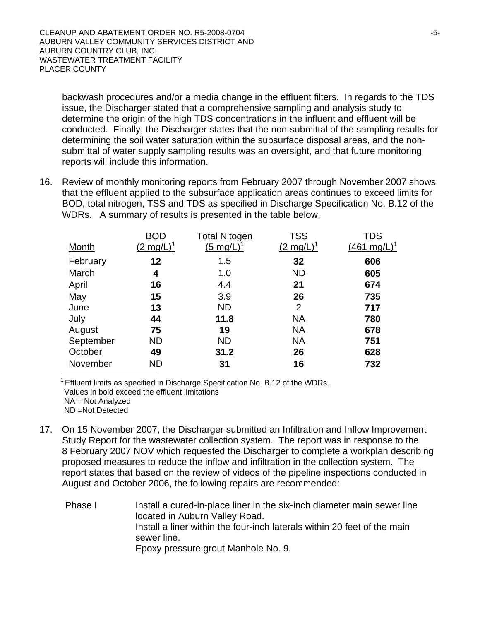backwash procedures and/or a media change in the effluent filters. In regards to the TDS issue, the Discharger stated that a comprehensive sampling and analysis study to determine the origin of the high TDS concentrations in the influent and effluent will be conducted. Finally, the Discharger states that the non-submittal of the sampling results for determining the soil water saturation within the subsurface disposal areas, and the nonsubmittal of water supply sampling results was an oversight, and that future monitoring reports will include this information.

16. Review of monthly monitoring reports from February 2007 through November 2007 shows that the effluent applied to the subsurface application areas continues to exceed limits for BOD, total nitrogen, TSS and TDS as specified in Discharge Specification No. B.12 of the WDRs. A summary of results is presented in the table below.

| <b>Month</b> | <b>BOD</b><br>$(2 \text{ mg/L})^1$ | <b>Total Nitogen</b><br>$(5 \text{ mg/L})$ | <b>TSS</b><br>$(2 \text{ mg/L})^T$ | TDS<br>$(461 \text{ mg/L})^1$ |
|--------------|------------------------------------|--------------------------------------------|------------------------------------|-------------------------------|
| February     | 12                                 | 1.5                                        | 32                                 | 606                           |
| March        | 4                                  | 1.0                                        | <b>ND</b>                          | 605                           |
| April        | 16                                 | 4.4                                        | 21                                 | 674                           |
| May          | 15                                 | 3.9                                        | 26                                 | 735                           |
| June         | 13                                 | <b>ND</b>                                  | 2                                  | 717                           |
| July         | 44                                 | 11.8                                       | <b>NA</b>                          | 780                           |
| August       | 75                                 | 19                                         | <b>NA</b>                          | 678                           |
| September    | <b>ND</b>                          | <b>ND</b>                                  | <b>NA</b>                          | 751                           |
| October      | 49                                 | 31.2                                       | 26                                 | 628                           |
| November     | <b>ND</b>                          | 31                                         | 16                                 | 732                           |

 $1$  Effluent limits as specified in Discharge Specification No. B.12 of the WDRs. Values in bold exceed the effluent limitations NA = Not Analyzed ND =Not Detected

- 17. On 15 November 2007, the Discharger submitted an Infiltration and Inflow Improvement Study Report for the wastewater collection system. The report was in response to the 8 February 2007 NOV which requested the Discharger to complete a workplan describing proposed measures to reduce the inflow and infiltration in the collection system. The report states that based on the review of videos of the pipeline inspections conducted in August and October 2006, the following repairs are recommended:
	- Phase I Install a cured-in-place liner in the six-inch diameter main sewer line located in Auburn Valley Road. Install a liner within the four-inch laterals within 20 feet of the main sewer line. Epoxy pressure grout Manhole No. 9.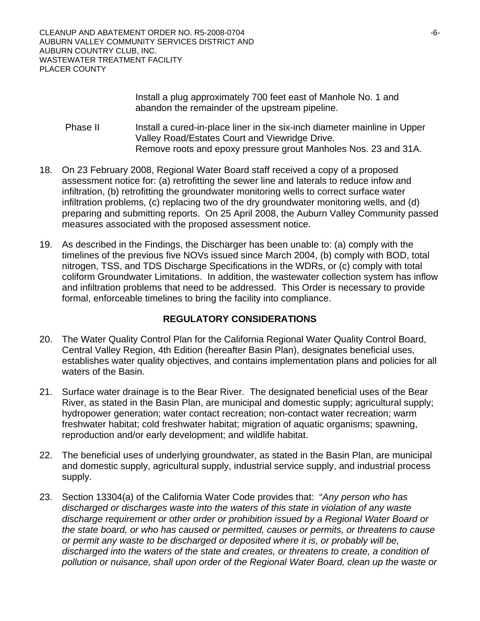CLEANUP AND ABATEMENT ORDER NO. R5-2008-0704 AUBURN VALLEY COMMUNITY SERVICES DISTRICT AND AUBURN COUNTRY CLUB, INC. WASTEWATER TREATMENT FACILITY PLACER COUNTY

> Install a plug approximately 700 feet east of Manhole No. 1 and abandon the remainder of the upstream pipeline.

- Phase II Install a cured-in-place liner in the six-inch diameter mainline in Upper Valley Road/Estates Court and Viewridge Drive. Remove roots and epoxy pressure grout Manholes Nos. 23 and 31A.
- 18. On 23 February 2008, Regional Water Board staff received a copy of a proposed assessment notice for: (a) retrofitting the sewer line and laterals to reduce infow and infiltration, (b) retrofitting the groundwater monitoring wells to correct surface water infiltration problems, (c) replacing two of the dry groundwater monitoring wells, and (d) preparing and submitting reports. On 25 April 2008, the Auburn Valley Community passed measures associated with the proposed assessment notice.
- 19. As described in the Findings, the Discharger has been unable to: (a) comply with the timelines of the previous five NOVs issued since March 2004, (b) comply with BOD, total nitrogen, TSS, and TDS Discharge Specifications in the WDRs, or (c) comply with total coliform Groundwater Limitations. In addition, the wastewater collection system has inflow and infiltration problems that need to be addressed. This Order is necessary to provide formal, enforceable timelines to bring the facility into compliance.

# **REGULATORY CONSIDERATIONS**

- 20. The Water Quality Control Plan for the California Regional Water Quality Control Board, Central Valley Region, 4th Edition (hereafter Basin Plan), designates beneficial uses, establishes water quality objectives, and contains implementation plans and policies for all waters of the Basin.
- 21. Surface water drainage is to the Bear River. The designated beneficial uses of the Bear River, as stated in the Basin Plan, are municipal and domestic supply; agricultural supply; hydropower generation; water contact recreation; non-contact water recreation; warm freshwater habitat; cold freshwater habitat; migration of aquatic organisms; spawning, reproduction and/or early development; and wildlife habitat.
- 22. The beneficial uses of underlying groundwater, as stated in the Basin Plan, are municipal and domestic supply, agricultural supply, industrial service supply, and industrial process supply.
- 23. Section 13304(a) of the California Water Code provides that: "*Any person who has discharged or discharges waste into the waters of this state in violation of any waste discharge requirement or other order or prohibition issued by a Regional Water Board or the state board, or who has caused or permitted, causes or permits, or threatens to cause or permit any waste to be discharged or deposited where it is, or probably will be, discharged into the waters of the state and creates, or threatens to create, a condition of pollution or nuisance, shall upon order of the Regional Water Board, clean up the waste or*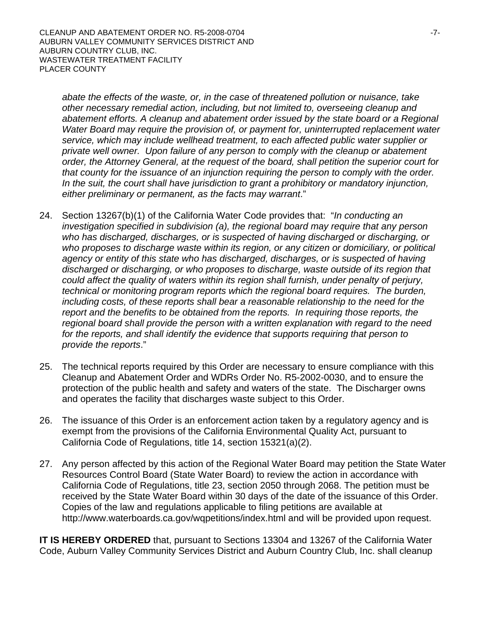*abate the effects of the waste, or, in the case of threatened pollution or nuisance, take other necessary remedial action, including, but not limited to, overseeing cleanup and abatement efforts. A cleanup and abatement order issued by the state board or a Regional Water Board may require the provision of, or payment for, uninterrupted replacement water service, which may include wellhead treatment, to each affected public water supplier or private well owner. Upon failure of any person to comply with the cleanup or abatement order, the Attorney General, at the request of the board, shall petition the superior court for that county for the issuance of an injunction requiring the person to comply with the order. In the suit, the court shall have jurisdiction to grant a prohibitory or mandatory injunction, either preliminary or permanent, as the facts may warrant*."

- 24. Section 13267(b)(1) of the California Water Code provides that: "*In conducting an investigation specified in subdivision (a), the regional board may require that any person who has discharged, discharges, or is suspected of having discharged or discharging, or who proposes to discharge waste within its region, or any citizen or domiciliary, or political agency or entity of this state who has discharged, discharges, or is suspected of having discharged or discharging, or who proposes to discharge, waste outside of its region that could affect the quality of waters within its region shall furnish, under penalty of perjury, technical or monitoring program reports which the regional board requires. The burden, including costs, of these reports shall bear a reasonable relationship to the need for the report and the benefits to be obtained from the reports. In requiring those reports, the regional board shall provide the person with a written explanation with regard to the need*  for the reports, and shall identify the evidence that supports requiring that person to *provide the reports*."
- 25. The technical reports required by this Order are necessary to ensure compliance with this Cleanup and Abatement Order and WDRs Order No. R5-2002-0030, and to ensure the protection of the public health and safety and waters of the state. The Discharger owns and operates the facility that discharges waste subject to this Order.
- 26. The issuance of this Order is an enforcement action taken by a regulatory agency and is exempt from the provisions of the California Environmental Quality Act, pursuant to California Code of Regulations, title 14, section 15321(a)(2).
- 27. Any person affected by this action of the Regional Water Board may petition the State Water Resources Control Board (State Water Board) to review the action in accordance with California Code of Regulations, title 23, section 2050 through 2068. The petition must be received by the State Water Board within 30 days of the date of the issuance of this Order. Copies of the law and regulations applicable to filing petitions are available at http://www.waterboards.ca.gov/wqpetitions/index.html and will be provided upon request.

**IT IS HEREBY ORDERED** that, pursuant to Sections 13304 and 13267 of the California Water Code, Auburn Valley Community Services District and Auburn Country Club, Inc. shall cleanup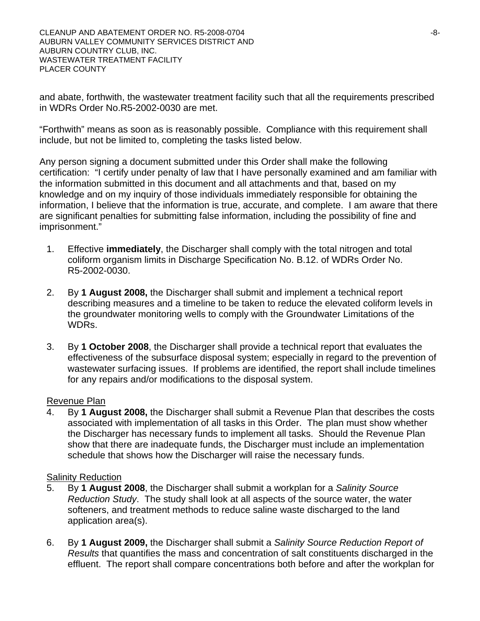and abate, forthwith, the wastewater treatment facility such that all the requirements prescribed in WDRs Order No.R5-2002-0030 are met.

"Forthwith" means as soon as is reasonably possible. Compliance with this requirement shall include, but not be limited to, completing the tasks listed below.

Any person signing a document submitted under this Order shall make the following certification: "I certify under penalty of law that I have personally examined and am familiar with the information submitted in this document and all attachments and that, based on my knowledge and on my inquiry of those individuals immediately responsible for obtaining the information, I believe that the information is true, accurate, and complete. I am aware that there are significant penalties for submitting false information, including the possibility of fine and imprisonment."

- 1. Effective **immediately**, the Discharger shall comply with the total nitrogen and total coliform organism limits in Discharge Specification No. B.12. of WDRs Order No. R5-2002-0030.
- 2. By **1 August 2008,** the Discharger shall submit and implement a technical report describing measures and a timeline to be taken to reduce the elevated coliform levels in the groundwater monitoring wells to comply with the Groundwater Limitations of the WDRs.
- 3. By **1 October 2008**, the Discharger shall provide a technical report that evaluates the effectiveness of the subsurface disposal system; especially in regard to the prevention of wastewater surfacing issues. If problems are identified, the report shall include timelines for any repairs and/or modifications to the disposal system.

#### Revenue Plan

4. By **1 August 2008,** the Discharger shall submit a Revenue Plan that describes the costs associated with implementation of all tasks in this Order. The plan must show whether the Discharger has necessary funds to implement all tasks. Should the Revenue Plan show that there are inadequate funds, the Discharger must include an implementation schedule that shows how the Discharger will raise the necessary funds.

#### **Salinity Reduction**

- 5. By **1 August 2008**, the Discharger shall submit a workplan for a *Salinity Source Reduction Study*. The study shall look at all aspects of the source water, the water softeners, and treatment methods to reduce saline waste discharged to the land application area(s).
- 6. By **1 August 2009,** the Discharger shall submit a *Salinity Source Reduction Report of Results* that quantifies the mass and concentration of salt constituents discharged in the effluent. The report shall compare concentrations both before and after the workplan for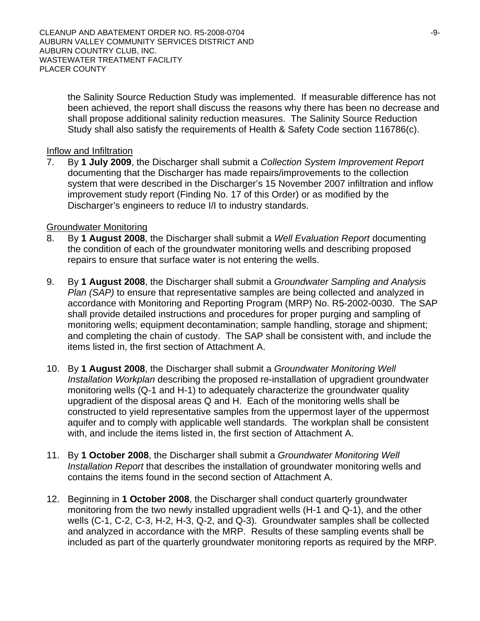the Salinity Source Reduction Study was implemented. If measurable difference has not been achieved, the report shall discuss the reasons why there has been no decrease and shall propose additional salinity reduction measures. The Salinity Source Reduction Study shall also satisfy the requirements of Health & Safety Code section 116786(c).

#### Inflow and Infiltration

7. By **1 July 2009**, the Discharger shall submit a *Collection System Improvement Report*  documenting that the Discharger has made repairs/improvements to the collection system that were described in the Discharger's 15 November 2007 infiltration and inflow improvement study report (Finding No. 17 of this Order) or as modified by the Discharger's engineers to reduce I/I to industry standards.

#### Groundwater Monitoring

- 8. By **1 August 2008**, the Discharger shall submit a *Well Evaluation Report* documenting the condition of each of the groundwater monitoring wells and describing proposed repairs to ensure that surface water is not entering the wells.
- 9. By **1 August 2008**, the Discharger shall submit a *Groundwater Sampling and Analysis Plan (SAP)* to ensure that representative samples are being collected and analyzed in accordance with Monitoring and Reporting Program (MRP) No. R5-2002-0030. The SAP shall provide detailed instructions and procedures for proper purging and sampling of monitoring wells; equipment decontamination; sample handling, storage and shipment; and completing the chain of custody. The SAP shall be consistent with, and include the items listed in, the first section of Attachment A.
- 10. By **1 August 2008**, the Discharger shall submit a *Groundwater Monitoring Well Installation Workplan* describing the proposed re-installation of upgradient groundwater monitoring wells (Q-1 and H-1) to adequately characterize the groundwater quality upgradient of the disposal areas Q and H. Each of the monitoring wells shall be constructed to yield representative samples from the uppermost layer of the uppermost aquifer and to comply with applicable well standards. The workplan shall be consistent with, and include the items listed in, the first section of Attachment A.
- 11. By **1 October 2008**, the Discharger shall submit a *Groundwater Monitoring Well Installation Report* that describes the installation of groundwater monitoring wells and contains the items found in the second section of Attachment A.
- 12. Beginning in **1 October 2008**, the Discharger shall conduct quarterly groundwater monitoring from the two newly installed upgradient wells (H-1 and Q-1), and the other wells (C-1, C-2, C-3, H-2, H-3, Q-2, and Q-3). Groundwater samples shall be collected and analyzed in accordance with the MRP. Results of these sampling events shall be included as part of the quarterly groundwater monitoring reports as required by the MRP.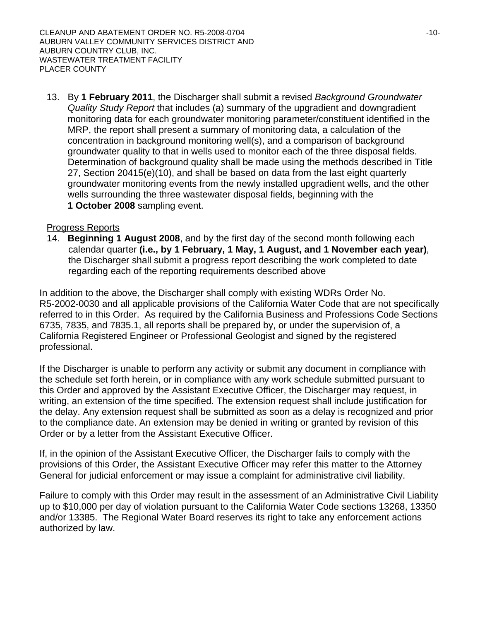13. By **1 February 2011**, the Discharger shall submit a revised *Background Groundwater Quality Study Report* that includes (a) summary of the upgradient and downgradient monitoring data for each groundwater monitoring parameter/constituent identified in the MRP, the report shall present a summary of monitoring data, a calculation of the concentration in background monitoring well(s), and a comparison of background groundwater quality to that in wells used to monitor each of the three disposal fields. Determination of background quality shall be made using the methods described in Title 27, Section 20415(e)(10), and shall be based on data from the last eight quarterly groundwater monitoring events from the newly installed upgradient wells, and the other wells surrounding the three wastewater disposal fields, beginning with the **1 October 2008** sampling event.

#### Progress Reports

14. **Beginning 1 August 2008**, and by the first day of the second month following each calendar quarter **(i.e., by 1 February, 1 May, 1 August, and 1 November each year)**, the Discharger shall submit a progress report describing the work completed to date regarding each of the reporting requirements described above

In addition to the above, the Discharger shall comply with existing WDRs Order No. R5-2002-0030 and all applicable provisions of the California Water Code that are not specifically referred to in this Order. As required by the California Business and Professions Code Sections 6735, 7835, and 7835.1, all reports shall be prepared by, or under the supervision of, a California Registered Engineer or Professional Geologist and signed by the registered professional.

If the Discharger is unable to perform any activity or submit any document in compliance with the schedule set forth herein, or in compliance with any work schedule submitted pursuant to this Order and approved by the Assistant Executive Officer, the Discharger may request, in writing, an extension of the time specified. The extension request shall include justification for the delay. Any extension request shall be submitted as soon as a delay is recognized and prior to the compliance date. An extension may be denied in writing or granted by revision of this Order or by a letter from the Assistant Executive Officer.

If, in the opinion of the Assistant Executive Officer, the Discharger fails to comply with the provisions of this Order, the Assistant Executive Officer may refer this matter to the Attorney General for judicial enforcement or may issue a complaint for administrative civil liability.

Failure to comply with this Order may result in the assessment of an Administrative Civil Liability up to \$10,000 per day of violation pursuant to the California Water Code sections 13268, 13350 and/or 13385. The Regional Water Board reserves its right to take any enforcement actions authorized by law.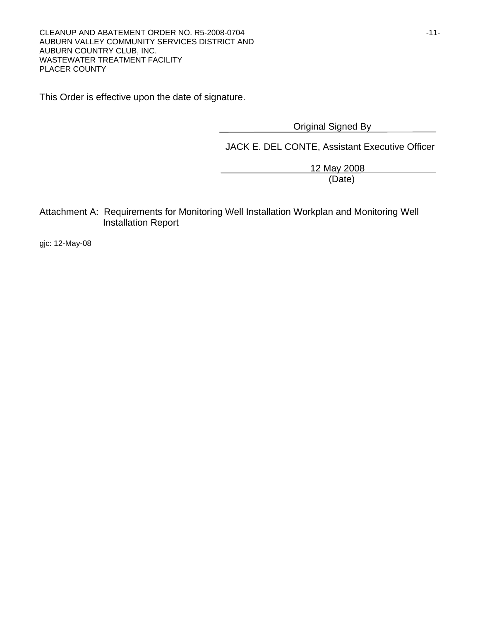This Order is effective upon the date of signature.

Original Signed By

JACK E. DEL CONTE, Assistant Executive Officer

 12 May 2008 (Date)

Attachment A: Requirements for Monitoring Well Installation Workplan and Monitoring Well Installation Report

gjc: 12-May-08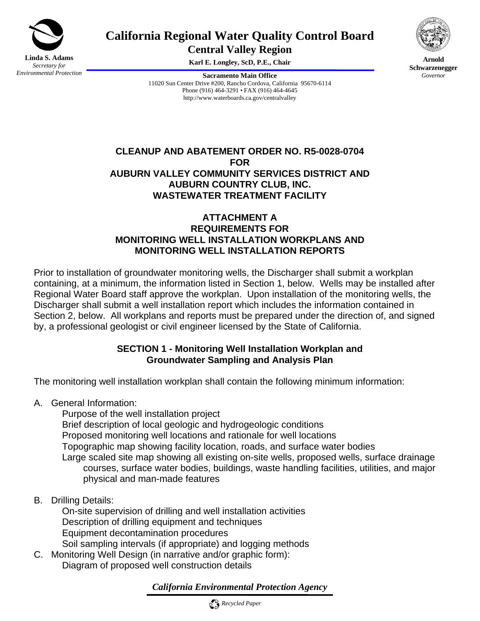

# **California Regional Water Quality Control Board**

**Central Valley Region** 

**Karl E. Longley, ScD, P.E., Chair** 

**Sacramento Main Office** 11020 Sun Center Drive #200, Rancho Cordova, California 95670-6114 Phone (916) 464-3291 • FAX (916) 464-4645 http://www.waterboards.ca.gov/centralvalley



**Arnold Schwarzenegger** *Governor* 

# **CLEANUP AND ABATEMENT ORDER NO. R5-0028-0704 FOR AUBURN VALLEY COMMUNITY SERVICES DISTRICT AND AUBURN COUNTRY CLUB, INC. WASTEWATER TREATMENT FACILITY**

### **ATTACHMENT A REQUIREMENTS FOR MONITORING WELL INSTALLATION WORKPLANS AND MONITORING WELL INSTALLATION REPORTS**

Prior to installation of groundwater monitoring wells, the Discharger shall submit a workplan containing, at a minimum, the information listed in Section 1, below. Wells may be installed after Regional Water Board staff approve the workplan. Upon installation of the monitoring wells, the Discharger shall submit a well installation report which includes the information contained in Section 2, below. All workplans and reports must be prepared under the direction of, and signed by, a professional geologist or civil engineer licensed by the State of California.

# **SECTION 1 - Monitoring Well Installation Workplan and Groundwater Sampling and Analysis Plan**

The monitoring well installation workplan shall contain the following minimum information:

A. General Information:

 Purpose of the well installation project Brief description of local geologic and hydrogeologic conditions Proposed monitoring well locations and rationale for well locations Topographic map showing facility location, roads, and surface water bodies Large scaled site map showing all existing on-site wells, proposed wells, surface drainage courses, surface water bodies, buildings, waste handling facilities, utilities, and major physical and man-made features

B. Drilling Details:

 On-site supervision of drilling and well installation activities Description of drilling equipment and techniques Equipment decontamination procedures Soil sampling intervals (if appropriate) and logging methods

C. Monitoring Well Design (in narrative and/or graphic form): Diagram of proposed well construction details

# *California Environmental Protection Agency*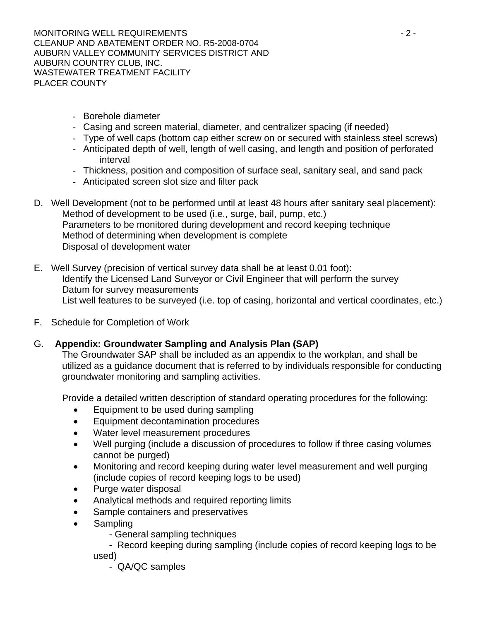MONITORING WELL REQUIREMENTS - 2 - CLEANUP AND ABATEMENT ORDER NO. R5-2008-0704 AUBURN VALLEY COMMUNITY SERVICES DISTRICT AND AUBURN COUNTRY CLUB, INC. WASTEWATER TREATMENT FACILITY PLACER COUNTY

- Borehole diameter
- Casing and screen material, diameter, and centralizer spacing (if needed)
- Type of well caps (bottom cap either screw on or secured with stainless steel screws)
- Anticipated depth of well, length of well casing, and length and position of perforated interval
- Thickness, position and composition of surface seal, sanitary seal, and sand pack
- Anticipated screen slot size and filter pack
- D. Well Development (not to be performed until at least 48 hours after sanitary seal placement): Method of development to be used (i.e., surge, bail, pump, etc.) Parameters to be monitored during development and record keeping technique Method of determining when development is complete Disposal of development water
- E. Well Survey (precision of vertical survey data shall be at least 0.01 foot): Identify the Licensed Land Surveyor or Civil Engineer that will perform the survey Datum for survey measurements List well features to be surveyed (i.e. top of casing, horizontal and vertical coordinates, etc.)
- F. Schedule for Completion of Work

# G. **Appendix: Groundwater Sampling and Analysis Plan (SAP)**

The Groundwater SAP shall be included as an appendix to the workplan, and shall be utilized as a guidance document that is referred to by individuals responsible for conducting groundwater monitoring and sampling activities.

Provide a detailed written description of standard operating procedures for the following:

- Equipment to be used during sampling
- Equipment decontamination procedures
- Water level measurement procedures
- Well purging (include a discussion of procedures to follow if three casing volumes cannot be purged)
- Monitoring and record keeping during water level measurement and well purging (include copies of record keeping logs to be used)
- Purge water disposal
- Analytical methods and required reporting limits
- Sample containers and preservatives
- Sampling
	- General sampling techniques
	- Record keeping during sampling (include copies of record keeping logs to be used)
		- QA/QC samples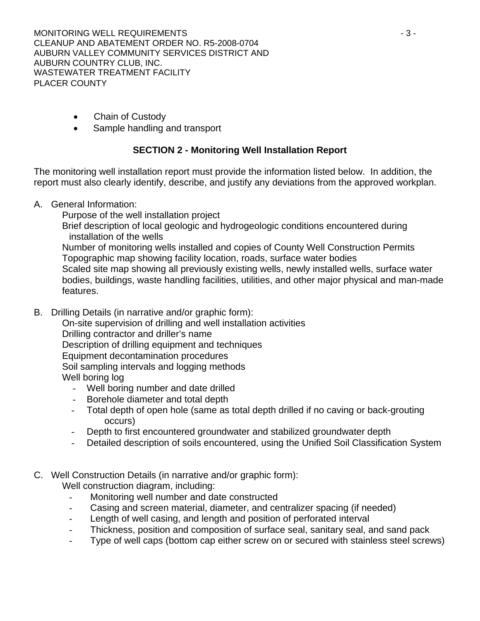MONITORING WELL REQUIREMENTS AND RESIDENCE AND A SHIP SERVICE AND RESIDENCE A SHIP SERVICE AND RESIDENCE A SHIP SERVICE AND RESIDENCE A SHIP SERVICE AND RESIDENCE A SHIP SERVICE AND RESIDENCE A SHIP SERVICE AND RESIDENCE A CLEANUP AND ABATEMENT ORDER NO. R5-2008-0704 AUBURN VALLEY COMMUNITY SERVICES DISTRICT AND AUBURN COUNTRY CLUB, INC. WASTEWATER TREATMENT FACILITY PLACER COUNTY

- Chain of Custody
- Sample handling and transport

# **SECTION 2 - Monitoring Well Installation Report**

The monitoring well installation report must provide the information listed below. In addition, the report must also clearly identify, describe, and justify any deviations from the approved workplan.

- A. General Information:
	- Purpose of the well installation project

 Brief description of local geologic and hydrogeologic conditions encountered during installation of the wells

 Number of monitoring wells installed and copies of County Well Construction Permits Topographic map showing facility location, roads, surface water bodies

 Scaled site map showing all previously existing wells, newly installed wells, surface water bodies, buildings, waste handling facilities, utilities, and other major physical and man-made features.

B. Drilling Details (in narrative and/or graphic form):

 On-site supervision of drilling and well installation activities Drilling contractor and driller's name Description of drilling equipment and techniques Equipment decontamination procedures Soil sampling intervals and logging methods Well boring log

- Well boring number and date drilled
- Borehole diameter and total depth
- Total depth of open hole (same as total depth drilled if no caving or back-grouting occurs)
- Depth to first encountered groundwater and stabilized groundwater depth
- Detailed description of soils encountered, using the Unified Soil Classification System
- C. Well Construction Details (in narrative and/or graphic form):

Well construction diagram, including:

- Monitoring well number and date constructed
- Casing and screen material, diameter, and centralizer spacing (if needed)
- Length of well casing, and length and position of perforated interval
- Thickness, position and composition of surface seal, sanitary seal, and sand pack
- Type of well caps (bottom cap either screw on or secured with stainless steel screws)